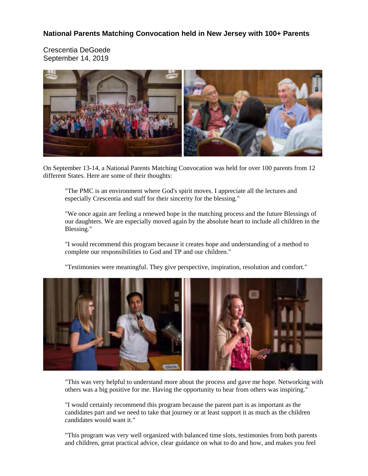**National Parents Matching Convocation held in New Jersey with 100+ Parents**

Crescentia DeGoede September 14, 2019



On September 13-14, a National Parents Matching Convocation was held for over 100 parents from 12 different States. Here are some of their thoughts:

"The PMC is an environment where God's spirit moves. I appreciate all the lectures and especially Crescentia and staff for their sincerity for the blessing."

"We once again are feeling a renewed hope in the matching process and the future Blessings of our daughters. We are especially moved again by the absolute heart to include all children in the Blessing."

"I would recommend this program because it creates hope and understanding of a method to complete our responsibilities to God and TP and our children."

"Testimonies were meaningful. They give perspective, inspiration, resolution and comfort."



"This was very helpful to understand more about the process and gave me hope. Networking with others was a big positive for me. Having the opportunity to hear from others was inspiring."

"I would certainly recommend this program because the parent part is as important as the candidates part and we need to take that journey or at least support it as much as the children candidates would want it."

"This program was very well organized with balanced time slots, testimonies from both parents and children, great practical advice, clear guidance on what to do and how, and makes you feel